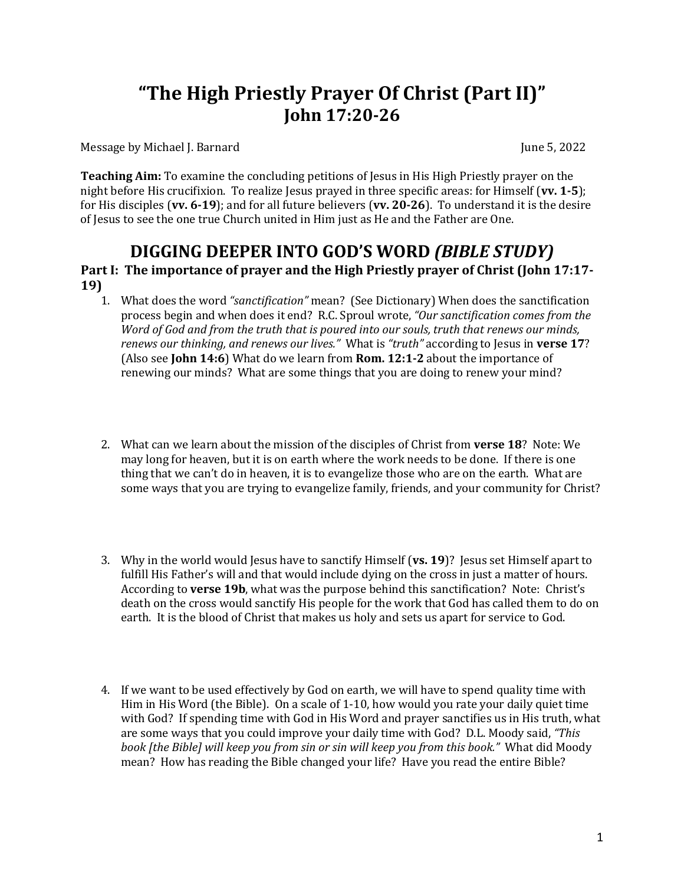# **"The High Priestly Prayer Of Christ (Part II)" John 17:20-26**

Message by Michael J. Barnard June 5, 2022

**Teaching Aim:** To examine the concluding petitions of Jesus in His High Priestly prayer on the night before His crucifixion. To realize Jesus prayed in three specific areas: for Himself (vv. 1-5); for His disciples (vv. 6-19); and for all future believers (vv. 20-26). To understand it is the desire of Jesus to see the one true Church united in Him just as He and the Father are One.

# **DIGGING DEEPER INTO GOD'S WORD** *(BIBLE STUDY)*

### Part I: The importance of prayer and the High Priestly prayer of Christ (John 17:17-**19)**

- 1. What does the word "sanctification" mean? (See Dictionary) When does the sanctification process begin and when does it end? R.C. Sproul wrote, "Our sanctification comes from the *Word* of God and from the truth that is poured into our souls, truth that renews our minds, renews our thinking, and renews our lives." What is "truth" according to Jesus in verse 17? (Also see **John 14:6**) What do we learn from **Rom. 12:1-2** about the importance of renewing our minds? What are some things that you are doing to renew your mind?
- 2. What can we learn about the mission of the disciples of Christ from **verse 18**? Note: We may long for heaven, but it is on earth where the work needs to be done. If there is one thing that we can't do in heaven, it is to evangelize those who are on the earth. What are some ways that you are trying to evangelize family, friends, and your community for Christ?
- 3. Why in the world would Jesus have to sanctify Himself (vs. 19)? Jesus set Himself apart to fulfill His Father's will and that would include dying on the cross in just a matter of hours. According to **verse 19b**, what was the purpose behind this sanctification? Note: Christ's death on the cross would sanctify His people for the work that God has called them to do on earth. It is the blood of Christ that makes us holy and sets us apart for service to God.
- 4. If we want to be used effectively by God on earth, we will have to spend quality time with Him in His Word (the Bible). On a scale of  $1-10$ , how would you rate your daily quiet time with God? If spending time with God in His Word and prayer sanctifies us in His truth, what are some ways that you could improve your daily time with God? D.L. Moody said, "This *book* [the Bible] will keep you from sin or sin will keep you from this book." What did Moody mean? How has reading the Bible changed your life? Have you read the entire Bible?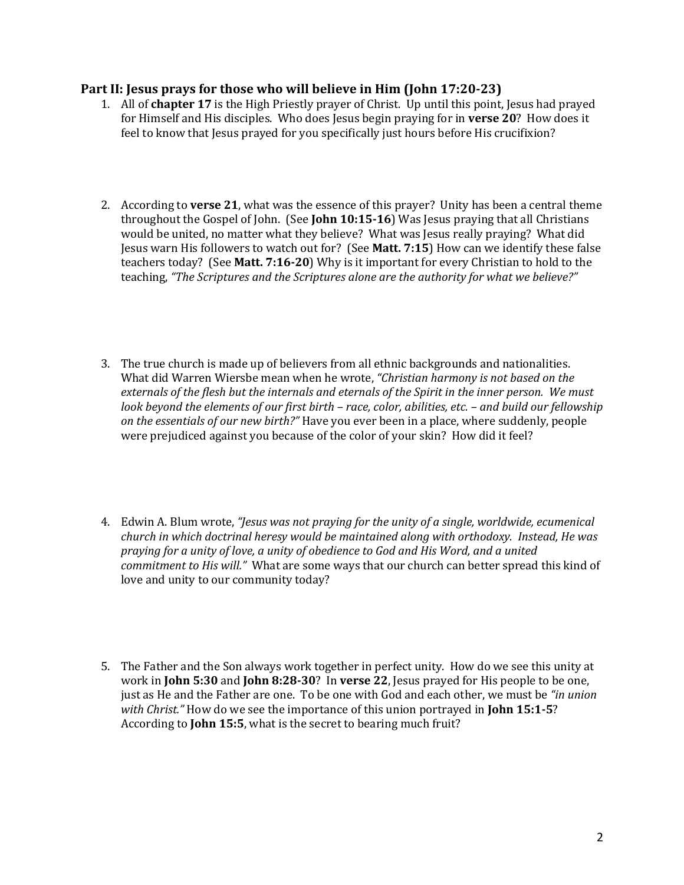#### **Part II: Jesus prays for those who will believe in Him (John 17:20-23)**

- 1. All of **chapter 17** is the High Priestly prayer of Christ. Up until this point, Jesus had prayed for Himself and His disciples. Who does Jesus begin praying for in **verse 20**? How does it feel to know that Jesus prayed for you specifically just hours before His crucifixion?
- 2. According to **verse 21**, what was the essence of this prayer? Unity has been a central theme throughout the Gospel of John. (See **John 10:15-16**) Was Jesus praying that all Christians would be united, no matter what they believe? What was Jesus really praying? What did Jesus warn His followers to watch out for? (See Matt. 7:15) How can we identify these false teachers today? (See Matt. 7:16-20) Why is it important for every Christian to hold to the teaching, "The Scriptures and the Scriptures alone are the authority for what we believe?"
- 3. The true church is made up of believers from all ethnic backgrounds and nationalities. What did Warren Wiersbe mean when he wrote, "Christian harmony is not based on the externals of the flesh but the internals and eternals of the Spirit in the inner person. We must *look beyond the elements of our first birth – race, color, abilities, etc.* – *and build our fellowship on the essentials of our new birth?"* Have you ever been in a place, where suddenly, people were prejudiced against you because of the color of your skin? How did it feel?
- 4. Edwin A. Blum wrote, *"Jesus was not praying for the unity of a single, worldwide, ecumenical church* in which doctrinal heresy would be maintained along with orthodoxy. Instead, He was praying for a unity of love, a unity of obedience to God and His Word, and a united *commitment to His will."* What are some ways that our church can better spread this kind of love and unity to our community today?
- 5. The Father and the Son always work together in perfect unity. How do we see this unity at work in **John 5:30** and **John 8:28-30**? In **verse 22**, Jesus prayed for His people to be one, just as He and the Father are one. To be one with God and each other, we must be "in *union with Christ.*" How do we see the importance of this union portrayed in **John 15:1-5**? According to **John 15:5**, what is the secret to bearing much fruit?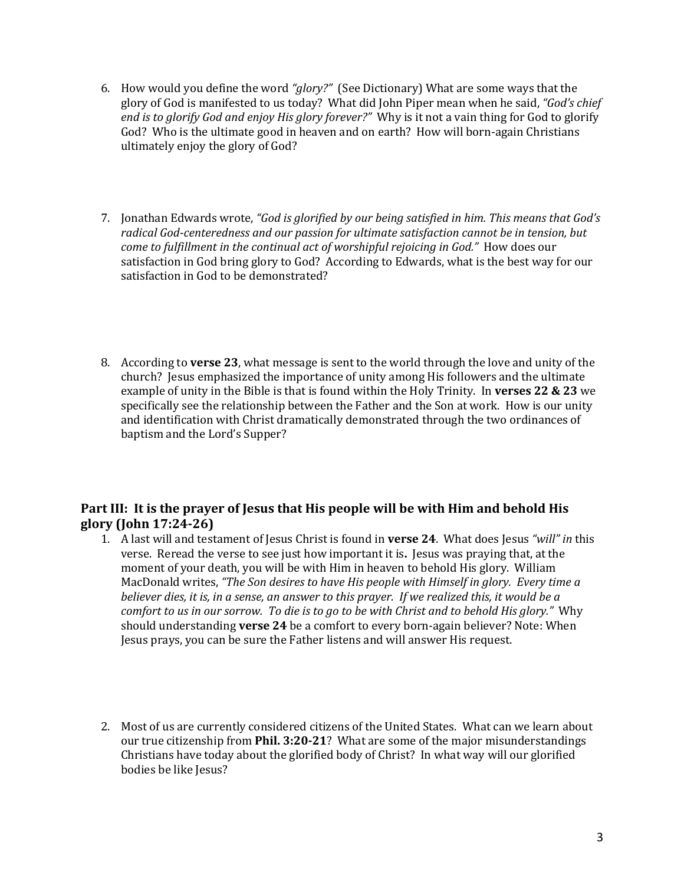- 6. How would you define the word "glory?" (See Dictionary) What are some ways that the glory of God is manifested to us today? What did John Piper mean when he said, "God's chief end is to glorify God and enjoy His glory forever?" Why is it not a vain thing for God to glorify God? Who is the ultimate good in heaven and on earth? How will born-again Christians ultimately enjoy the glory of God?
- 7. Jonathan Edwards wrote, "God is glorified by our being satisfied in him. This means that God's radical God-centeredness and our passion for ultimate satisfaction cannot be in tension, but *come to fulfillment in the continual act of worshipful rejoicing in God."* How does our satisfaction in God bring glory to God? According to Edwards, what is the best way for our satisfaction in God to be demonstrated?
- 8. According to **verse 23**, what message is sent to the world through the love and unity of the church? Jesus emphasized the importance of unity among His followers and the ultimate example of unity in the Bible is that is found within the Holy Trinity. In verses 22 & 23 we specifically see the relationship between the Father and the Son at work. How is our unity and identification with Christ dramatically demonstrated through the two ordinances of baptism and the Lord's Supper?

## Part III: It is the prayer of Jesus that His people will be with Him and behold His **glory (John 17:24-26)**

- 1. A last will and testament of Jesus Christ is found in **verse 24**. What does Jesus "will" in this verse. Reread the verse to see just how important it is. Jesus was praying that, at the moment of your death, you will be with Him in heaven to behold His glory. William MacDonald writes, "The Son desires to have His people with Himself in glory. Every time a *believer dies, it is, in a sense, an answer to this prayer. If we realized this, it would be a comfort to us in our sorrow. To die is to go to be with Christ and to behold His glory."* Why should understanding **verse 24** be a comfort to every born-again believer? Note: When Jesus prays, you can be sure the Father listens and will answer His request.
- 2. Most of us are currently considered citizens of the United States. What can we learn about our true citizenship from **Phil. 3:20-21**? What are some of the major misunderstandings Christians have today about the glorified body of Christ? In what way will our glorified bodies be like Jesus?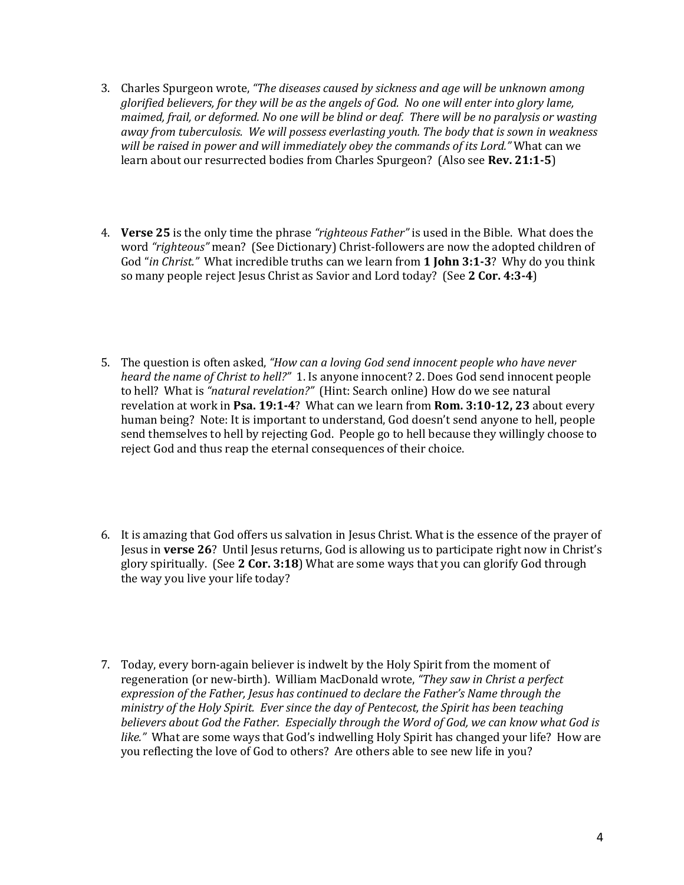- 3. Charles Spurgeon wrote, *"The diseases caused by sickness and age will be unknown among glorified believers, for they will be as the angels of God. No one will enter into glory lame, maimed, frail, or deformed. No one will be blind or deaf. There will be no paralysis or wasting away* from tuberculosis. We will possess everlasting youth. The body that is sown in weakness will be raised in power and will immediately obey the commands of its Lord." What can we learn about our resurrected bodies from Charles Spurgeon? (Also see Rev. 21:1-5)
- 4. **Verse 25** is the only time the phrase "righteous Father" is used in the Bible. What does the word "righteous" mean? (See Dictionary) Christ-followers are now the adopted children of God "*in Christ.*" What incredible truths can we learn from **1 John 3:1-3**? Why do you think so many people reject Jesus Christ as Savior and Lord today? (See 2 Cor. 4:3-4)
- 5. The question is often asked, "How can a loving God send *innocent people* who have never *heard the name of Christ to hell?"* 1. Is anyone innocent? 2. Does God send innocent people to hell? What is "natural revelation?" (Hint: Search online) How do we see natural revelation at work in Psa. 19:1-4? What can we learn from Rom. 3:10-12, 23 about every human being? Note: It is important to understand, God doesn't send anyone to hell, people send themselves to hell by rejecting God. People go to hell because they willingly choose to reject God and thus reap the eternal consequences of their choice.
- 6. It is amazing that God offers us salvation in Jesus Christ. What is the essence of the prayer of Jesus in **verse 26**? Until Jesus returns, God is allowing us to participate right now in Christ's glory spiritually. (See 2 Cor. 3:18) What are some ways that you can glorify God through the way you live your life today?
- 7. Today, every born-again believer is indwelt by the Holy Spirit from the moment of regeneration (or new-birth). William MacDonald wrote, "They saw in Christ a perfect expression of the Father, *Jesus has continued to declare the Father's Name through the ministry of the Holy Spirit. Ever since the day of Pentecost, the Spirit has been teaching* believers about God the Father. Especially through the Word of God, we can know what God is *like.*" What are some ways that God's indwelling Holy Spirit has changed your life? How are you reflecting the love of God to others? Are others able to see new life in you?